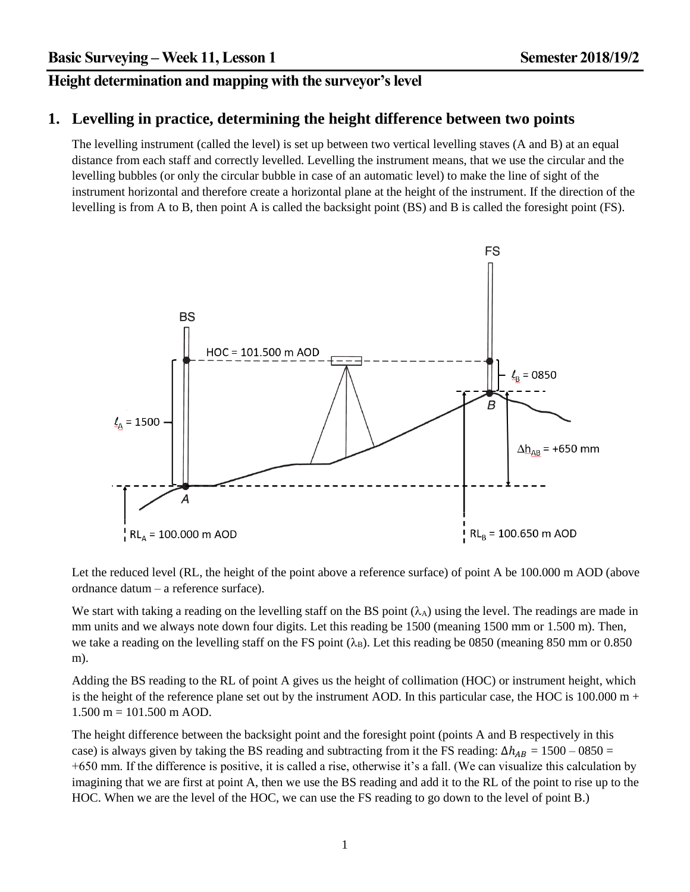# **Height determination and mapping with the surveyor's level**

#### **1. Levelling in practice, determining the height difference between two points**

The levelling instrument (called the level) is set up between two vertical levelling staves (A and B) at an equal distance from each staff and correctly levelled. Levelling the instrument means, that we use the circular and the levelling bubbles (or only the circular bubble in case of an automatic level) to make the line of sight of the instrument horizontal and therefore create a horizontal plane at the height of the instrument. If the direction of the levelling is from A to B, then point A is called the backsight point (BS) and B is called the foresight point (FS).



Let the reduced level (RL, the height of the point above a reference surface) of point A be 100.000 m AOD (above ordnance datum – a reference surface).

We start with taking a reading on the levelling staff on the BS point  $(\lambda_A)$  using the level. The readings are made in mm units and we always note down four digits. Let this reading be 1500 (meaning 1500 mm or 1.500 m). Then, we take a reading on the levelling staff on the FS point  $(\lambda_B)$ . Let this reading be 0850 (meaning 850 mm or 0.850) m).

Adding the BS reading to the RL of point A gives us the height of collimation (HOC) or instrument height, which is the height of the reference plane set out by the instrument AOD. In this particular case, the HOC is  $100.000 \text{ m} +$  $1.500 \text{ m} = 101.500 \text{ m AOD}.$ 

The height difference between the backsight point and the foresight point (points A and B respectively in this case) is always given by taking the BS reading and subtracting from it the FS reading:  $\Delta h_{AB} = 1500 - 0850 =$ +650 mm. If the difference is positive, it is called a rise, otherwise it's a fall. (We can visualize this calculation by imagining that we are first at point A, then we use the BS reading and add it to the RL of the point to rise up to the HOC. When we are the level of the HOC, we can use the FS reading to go down to the level of point B.)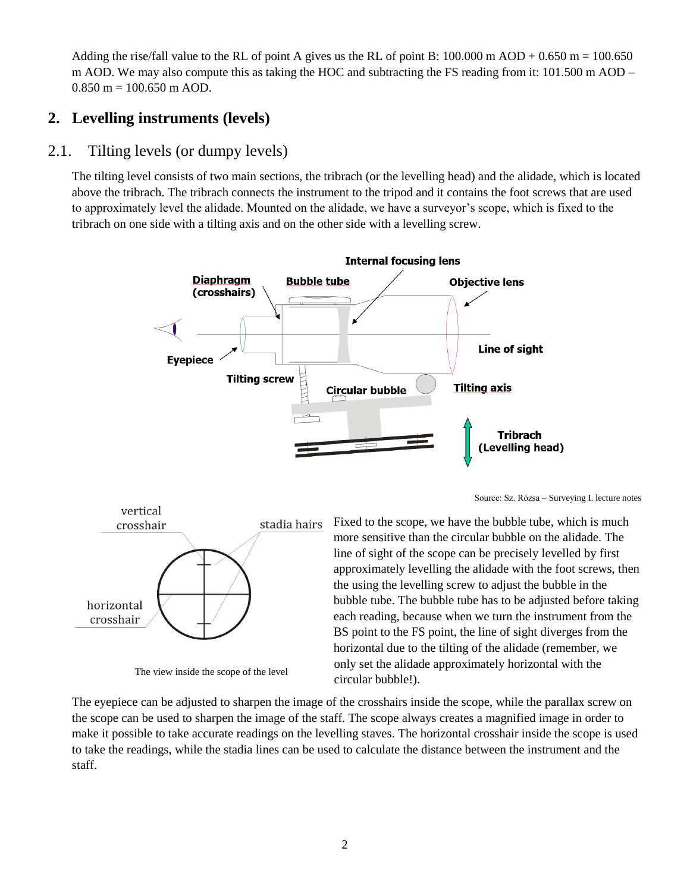Adding the rise/fall value to the RL of point A gives us the RL of point B:  $100.000 \text{ m }$  AOD +  $0.650 \text{ m} = 100.650$ m AOD. We may also compute this as taking the HOC and subtracting the FS reading from it: 101.500 m AOD –  $0.850$  m = 100.650 m AOD.

# **2. Levelling instruments (levels)**

# 2.1. Tilting levels (or dumpy levels)

The tilting level consists of two main sections, the tribrach (or the levelling head) and the alidade, which is located above the tribrach. The tribrach connects the instrument to the tripod and it contains the foot screws that are used to approximately level the alidade. Mounted on the alidade, we have a surveyor's scope, which is fixed to the tribrach on one side with a tilting axis and on the other side with a levelling screw.



Source: Sz. Rózsa – Surveying I. lecture notes



The view inside the scope of the level

Fixed to the scope, we have the bubble tube, which is much more sensitive than the circular bubble on the alidade. The line of sight of the scope can be precisely levelled by first approximately levelling the alidade with the foot screws, then the using the levelling screw to adjust the bubble in the bubble tube. The bubble tube has to be adjusted before taking each reading, because when we turn the instrument from the BS point to the FS point, the line of sight diverges from the horizontal due to the tilting of the alidade (remember, we only set the alidade approximately horizontal with the circular bubble!).

The eyepiece can be adjusted to sharpen the image of the crosshairs inside the scope, while the parallax screw on the scope can be used to sharpen the image of the staff. The scope always creates a magnified image in order to make it possible to take accurate readings on the levelling staves. The horizontal crosshair inside the scope is used to take the readings, while the stadia lines can be used to calculate the distance between the instrument and the staff.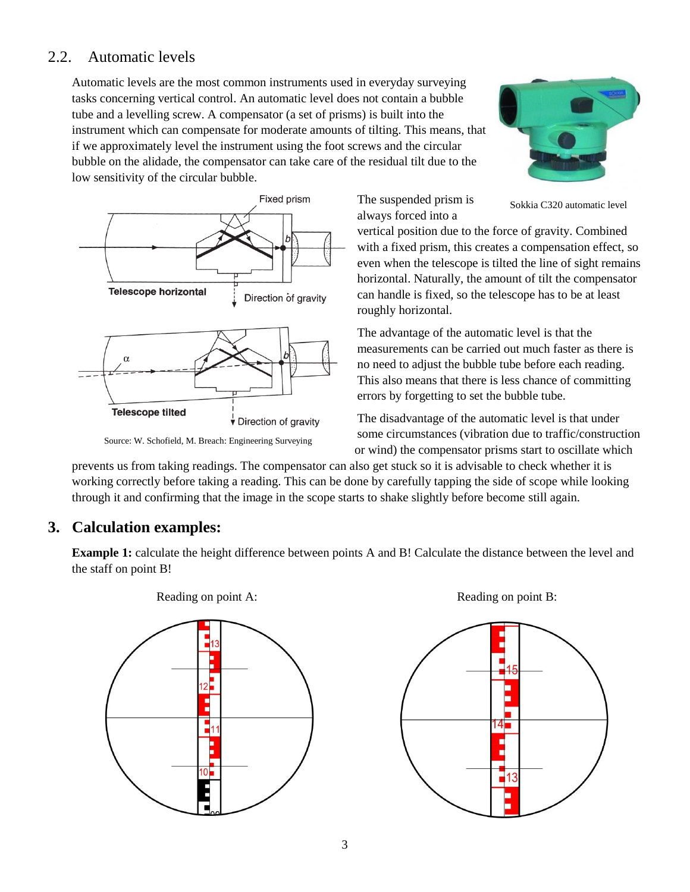# 2.2. Automatic levels

Automatic levels are the most common instruments used in everyday surveying tasks concerning vertical control. An automatic level does not contain a bubble tube and a levelling screw. A compensator (a set of prisms) is built into the instrument which can compensate for moderate amounts of tilting. This means, that if we approximately level the instrument using the foot screws and the circular bubble on the alidade, the compensator can take care of the residual tilt due to the low sensitivity of the circular bubble.



Source: W. Schofield, M. Breach: Engineering Surveying

Sokkia C320 automatic level

vertical position due to the force of gravity. Combined with a fixed prism, this creates a compensation effect, so even when the telescope is tilted the line of sight remains horizontal. Naturally, the amount of tilt the compensator can handle is fixed, so the telescope has to be at least roughly horizontal.

The suspended prism is always forced into a

The advantage of the automatic level is that the measurements can be carried out much faster as there is no need to adjust the bubble tube before each reading. This also means that there is less chance of committing errors by forgetting to set the bubble tube.

The disadvantage of the automatic level is that under some circumstances (vibration due to traffic/construction or wind) the compensator prisms start to oscillate which

prevents us from taking readings. The compensator can also get stuck so it is advisable to check whether it is working correctly before taking a reading. This can be done by carefully tapping the side of scope while looking through it and confirming that the image in the scope starts to shake slightly before become still again.

#### **3. Calculation examples:**

**Example 1:** calculate the height difference between points A and B! Calculate the distance between the level and the staff on point B!





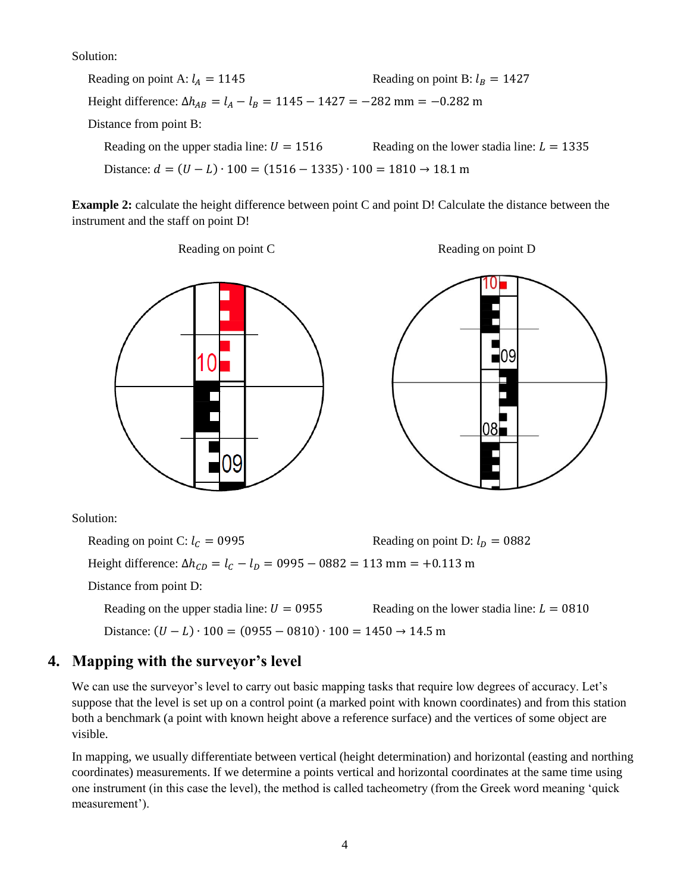Solution:

Reading on point A:  $l_A = 1145$  Reading on point B:  $l_B = 1427$ Height difference:  $\Delta h_{AB} = l_A - l_B = 1145 - 1427 = -282$  mm = -0.282 m Distance from point B: Reading on the upper stadia line:  $U = 1516$  Reading on the lower stadia line:  $L = 1335$ Distance:  $d = (U - L) \cdot 100 = (1516 - 1335) \cdot 100 = 1810 \rightarrow 18.1 \text{ m}$ 

**Example 2:** calculate the height difference between point C and point D! Calculate the distance between the instrument and the staff on point D!



Height difference:  $\Delta h_{CD} = l_C - l_D = 0995 - 0882 = 113$  mm = +0.113 m

Distance from point D:

Reading on the upper stadia line:  $U = 0.0955$  Reading on the lower stadia line:  $L = 0.0810$ 

Distance:  $(U - L) \cdot 100 = (0.0955 - 0.0810) \cdot 100 = 1450 \rightarrow 14.5$  m

#### **4. Mapping with the surveyor's level**

We can use the surveyor's level to carry out basic mapping tasks that require low degrees of accuracy. Let's suppose that the level is set up on a control point (a marked point with known coordinates) and from this station both a benchmark (a point with known height above a reference surface) and the vertices of some object are visible.

In mapping, we usually differentiate between vertical (height determination) and horizontal (easting and northing coordinates) measurements. If we determine a points vertical and horizontal coordinates at the same time using one instrument (in this case the level), the method is called tacheometry (from the Greek word meaning 'quick measurement').